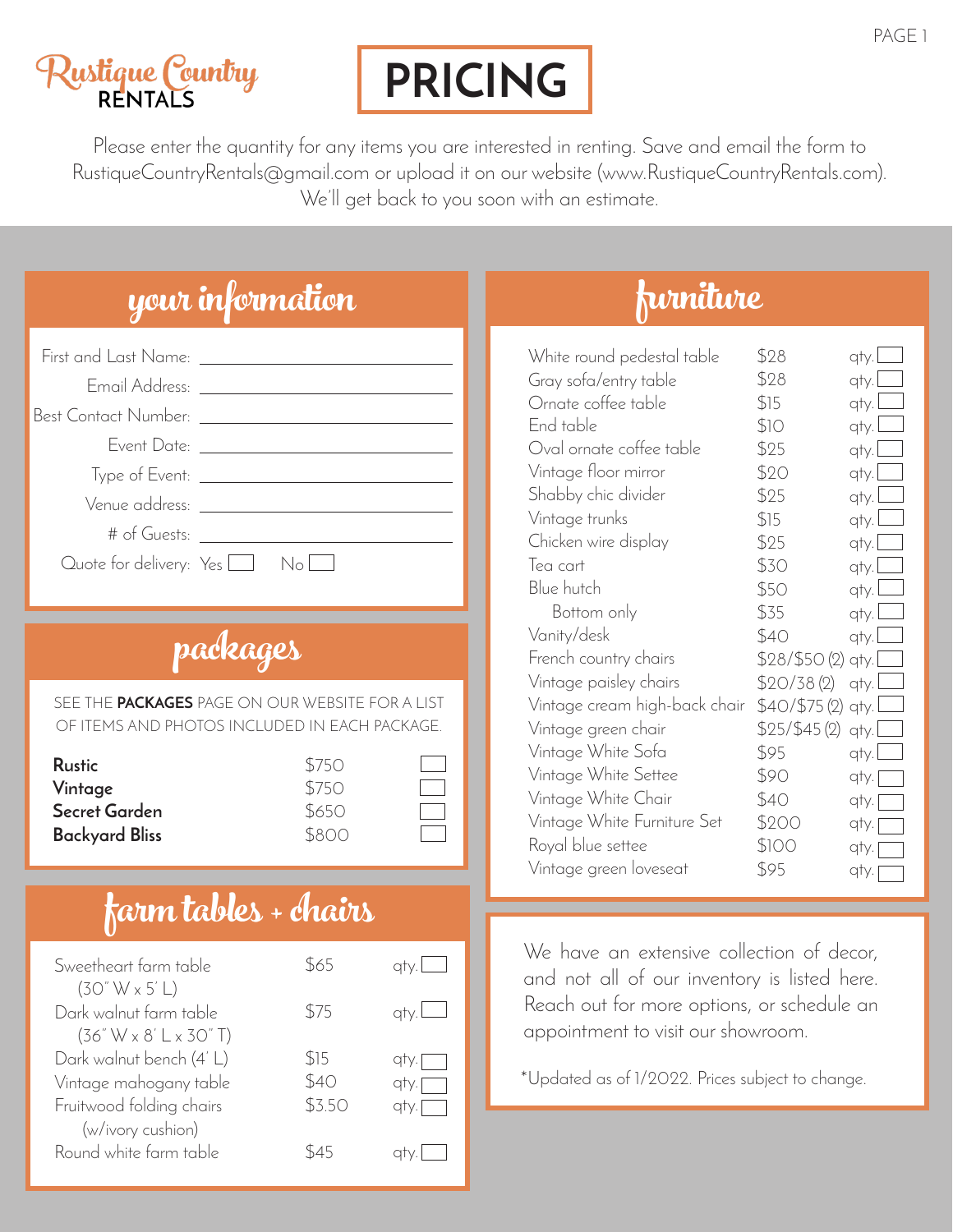# <mark>Lustique Country</mark><br>RENTALS

# **PRICING**

Please enter the quantity for any items you are interested in renting. Save and email the form to RustiqueCountryRentals@gmail.com or upload it on our website (www.RustiqueCountryRentals.com). We'll get back to you soon with an estimate.

|                                                                                                    | your information                                                                                                                                                                                                                                                                                                                                                                                                                    |                                          |
|----------------------------------------------------------------------------------------------------|-------------------------------------------------------------------------------------------------------------------------------------------------------------------------------------------------------------------------------------------------------------------------------------------------------------------------------------------------------------------------------------------------------------------------------------|------------------------------------------|
|                                                                                                    | First and Last Name: ________________________<br>Email Address: ________________________________<br>Event Date: ________________________________<br># of Guests: The Contract of Superior Contract of Superior Contract of The Contract of The Contract of The Contract of The Contract of The Contract of The Contract of The Contract of The Contract of The Contract of The Con<br>Quote for delivery: $Yes \Box \qquad No \Box$ |                                          |
|                                                                                                    | padeages                                                                                                                                                                                                                                                                                                                                                                                                                            |                                          |
|                                                                                                    | SEE THE PACKAGES PAGE ON OUR WEBSITE FOR A LIST<br>OF ITEMS AND PHOTOS INCLUDED IN EACH PACKAGE.                                                                                                                                                                                                                                                                                                                                    |                                          |
| <b>Rustic</b><br>Vintage<br>Secret Garden<br><b>Backyard Bliss</b>                                 | \$750<br>\$750<br>\$650<br>\$800                                                                                                                                                                                                                                                                                                                                                                                                    |                                          |
|                                                                                                    | farm tables + chairs                                                                                                                                                                                                                                                                                                                                                                                                                |                                          |
| Sweetheart farm table<br>(30" W x 5' L)                                                            |                                                                                                                                                                                                                                                                                                                                                                                                                                     | $$65$ qty.                               |
| Dark walnut farm table<br>$(36" W \times 8' L \times 30" T)$                                       | \$75                                                                                                                                                                                                                                                                                                                                                                                                                                | qty.l                                    |
| Dark walnut bench (4'L)<br>Vintage mahogany table<br>Fruitwood folding chairs<br>(w/ivory cushion) | \$15<br>\$40<br>\$3.50                                                                                                                                                                                                                                                                                                                                                                                                              | qty.<br>$q$ ty. $\Box$<br>$q$ ty. $\Box$ |
| Round white farm table                                                                             | \$45                                                                                                                                                                                                                                                                                                                                                                                                                                | qty.                                     |

## furniture

| White round pedestal table    | \$28         | qty. |
|-------------------------------|--------------|------|
| Gray sofa/entry table         | \$28         | qty. |
| Ornate coffee table           | \$15         | qty. |
| End table                     | \$10         | qty. |
| Oval ornate coffee table      | \$25         | qty. |
| Vintage floor mirror          | \$20         | qty. |
| Shabby chic divider           | \$25         | qty. |
| Vintage trunks                | \$15         | qty. |
| Chicken wire display          | \$25         | qty. |
| Tea cart                      | \$30         | qty. |
| Blue hutch                    | \$50         | qty. |
| Bottom only                   | \$35         | qty. |
| Vanity/desk                   | \$40         | qty. |
| French country chairs         | \$28/\$50(2) | qty. |
| Vintage paisley chairs        | \$20/38(2)   | qty. |
| Vintage cream high-back chair | \$40/\$75(2) | qty. |
| Vintage green chair           | \$25/\$45(2) | qty. |
| Vintage White Sofa            | \$95         | qty. |
| Vintage White Settee          | \$90         | qty. |
| Vintage White Chair           | \$40         | qty. |
| Vintage White Furniture Set   | \$200        | qty. |
| Royal blue settee             | \$100        | qty. |
| Vintage green loveseat        | \$95         | qty. |

We have an extensive collection of decor, and not all of our inventory is listed here. Reach out for more options, or schedule an appointment to visit our showroom.

\*Updated as of 1/2022. Prices subject to change.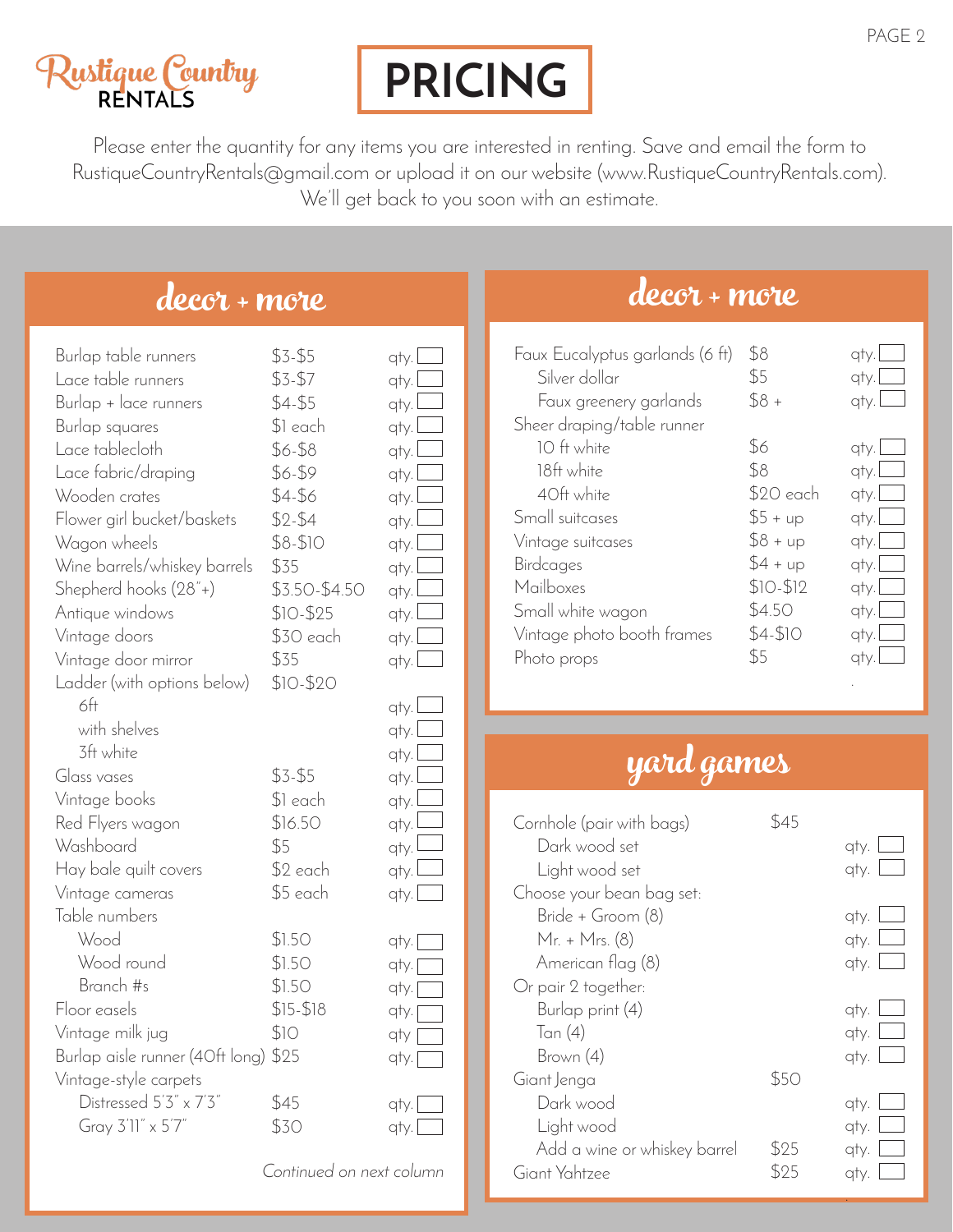## <mark>Lustique Country</mark><br>RENTALS

## **PRICING**

Please enter the quantity for any items you are interested in renting. Save and email the form to RustiqueCountryRentals@gmail.com or upload it on our website (www.RustiqueCountryRentals.com). We'll get back to you soon with an estimate.

### decor + more

| Burlap table runners<br>Lace table runners<br>Burlap + lace runners<br>Burlap squares<br>Lace tablecloth<br>Lace fabric/draping<br>Wooden crates<br>Flower girl bucket/baskets<br>Wagon wheels<br>Wine barrels/whiskey barrels<br>Shepherd hooks (28"+)<br>Antique windows<br>Vintage doors<br>Vintage door mirror<br>Ladder (with options below) | $$3 - $5$<br>$$3-57$<br>$$4-$5$<br>\$1 each<br>\$6-\$8<br>\$6-\$9<br>\$4-\$6<br>$$2 - $4$<br>$$8-$10$<br>\$35<br>\$3.50-\$4.50<br>$$10-$25$<br>\$30 each<br>\$35<br>$$10-$20$ | qty.L<br>qty.l<br>qty.l<br>qty.<br>qty.<br>qty.l<br>qty.l<br>qty.l<br>qty.l<br>qty.l<br>qty.l<br>qty. I<br>qty.l<br>qty.l |
|---------------------------------------------------------------------------------------------------------------------------------------------------------------------------------------------------------------------------------------------------------------------------------------------------------------------------------------------------|-------------------------------------------------------------------------------------------------------------------------------------------------------------------------------|---------------------------------------------------------------------------------------------------------------------------|
| 6 <sup>ft</sup><br>with shelves<br>3ft white<br>Glass vases<br>Vintage books<br>Red Flyers wagon<br>Washboard<br>Hay bale quilt covers<br>Vintage cameras<br>Table numbers                                                                                                                                                                        | $$3 - $5$<br>\$1 each<br>\$16.50<br>\$5<br>\$2 each<br>\$5 each                                                                                                               | qty.l<br>qty.l<br>qty.l<br>qty.l<br>qty.l<br>qty.l<br>qty.l<br>qty.<br>qty.                                               |
| Wood<br>Wood round<br>Branch #s<br>Floor easels<br>Vintage milk jug<br>Burlap aisle runner (40ft long) \$25<br>Vintage-style carpets<br>Distressed 5'3" x 7'3"<br>Gray 3'11" x 5'7"                                                                                                                                                               | \$1.50<br>\$1.50<br>\$1.50<br>$$15 - $18$<br>\$1O<br>\$45<br>\$30                                                                                                             | qty. [<br>qty. [<br>qty.<br>qty. <sub>[</sub><br>qty [<br>qty. [<br>qty.<br>qty. L                                        |

*Continued on next column*

#### decor + more

| Faux Eucalyptus garlands (6 ft) | \$8       | atv                           |
|---------------------------------|-----------|-------------------------------|
| Silver dollar                   | \$5       | qty.                          |
| Faux greenery garlands          | $$8 +$    | atv.                          |
| Sheer draping/table runner      |           |                               |
| 10 ft white                     | \$6       | $q$ ty. $\boxed{\phantom{a}}$ |
| 18ft white                      | \$8       | $q$ ty. $\Box$                |
| 40ft white                      | \$20 each | $q$ ty. $\Box$                |
| Small suitcases                 | $$5 + up$ | $q$ ty. $\Box$                |
| Vintage suitcases               | $$8 + up$ | $q$ ty. $\Box$                |
| Birdcages                       | $$4 + up$ | qty.L                         |
| Mailboxes                       | $$10-$12$ | $q$ ty. $\Box$                |
| Small white wagon               | \$4.50    | qty.l                         |
| Vintage photo booth frames      | $$4-$10$  | $q$ ty. $\boxed{\phantom{a}}$ |
| Photo props                     | \$5       | atv.                          |
|                                 |           |                               |

## yard games

| Cornhole (pair with bags)    | 845  |      |
|------------------------------|------|------|
| Dark wood set                |      | qty. |
| Light wood set               |      | qty. |
| Choose your bean bag set:    |      |      |
| Bride + Groom (8)            |      | qty. |
| Mr. + Mrs. (8)               |      | qty. |
| American flag (8)            |      | qty. |
| Or pair 2 together:          |      |      |
| Burlap print (4)             |      | qty. |
| Tan (4)                      |      | qty. |
| Brown (4)                    |      | qty. |
| Giant Jenga                  | \$50 |      |
| Dark wood                    |      | qty. |
| Light wood                   |      | qty. |
| Add a wine or whiskey barrel | \$25 | qty. |
| Giant Yahtzee                | 525  | qty. |
|                              |      |      |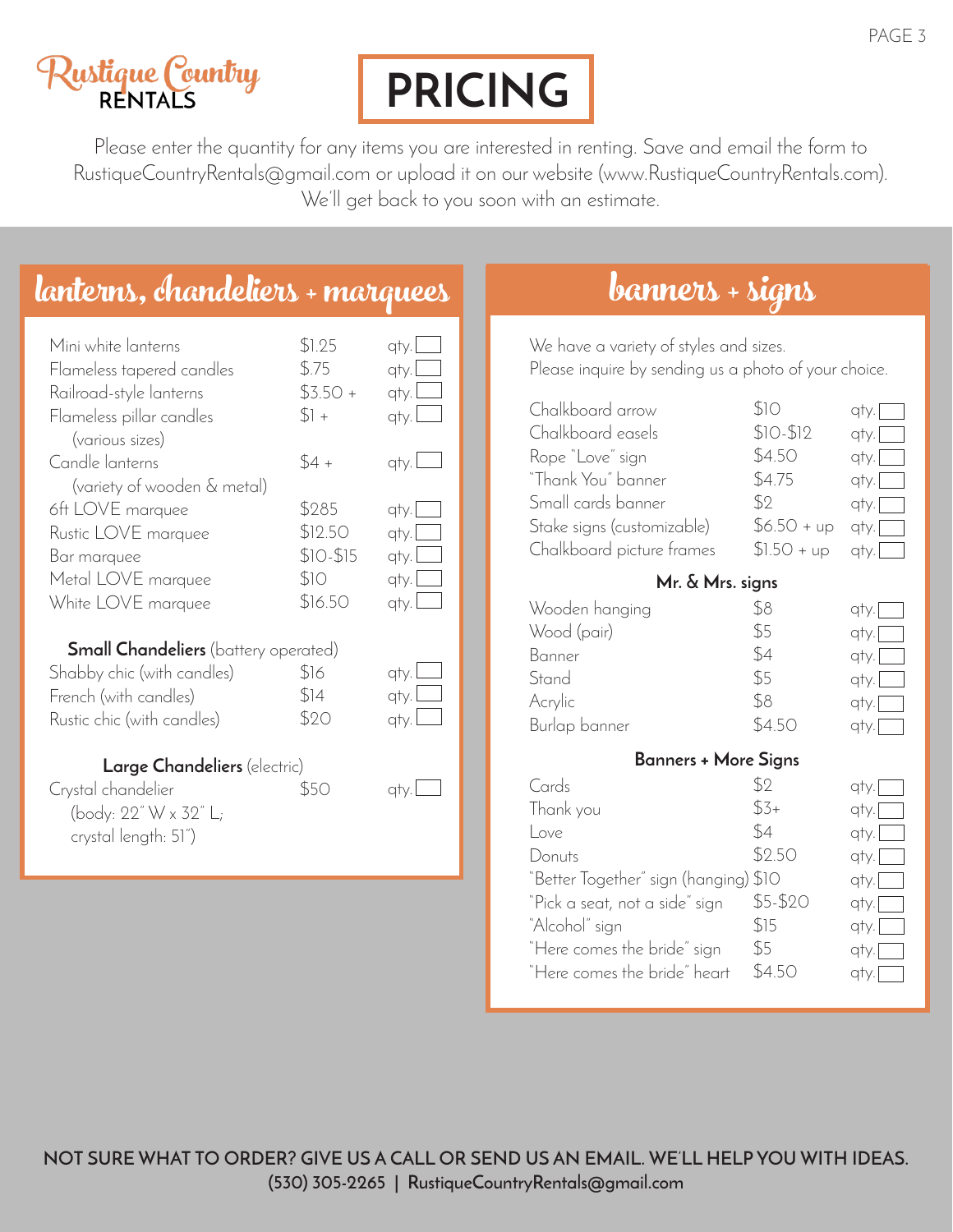# <mark>Lustique Count</mark>ry<br>RENTALS



Please enter the quantity for any items you are interested in renting. Save and email the form to RustiqueCountryRentals@gmail.com or upload it on our website (www.RustiqueCountryRentals.com). We'll get back to you soon with an estimate.

## lanterns, chandeliers + marquees banners + signs

| $$4 +$<br>Candle lanterns<br>qty. $\Box$<br>(variety of wooden & metal)<br>\$285<br>6ft LOVE marquee<br>$q$ ty. $\Box$<br>\$12.50<br>Rustic LOVE marquee<br>qty. <br>$$10-$15$<br>$q$ ty. $\Box$<br>Bar marquee<br>\$10<br>Metal LOVE marquee<br>$q$ ty. $\Box$<br>\$16.50<br>White LOVE marquee<br>qty. $\Box$<br><b>Small Chandeliers</b> (battery operated)<br>\$16<br>Shabby chic (with candles)<br>qty. I<br>\$14<br>$q$ ty. $\Box$<br>French (with candles)<br>\$20<br>qty. L<br>Rustic chic (with candles)<br><b>Large Chandeliers</b> (electric) | Mini white lanterns<br>Flameless tapered candles<br>Railroad-style lanterns<br>Flameless pillar candles<br>(various sizes) | \$1.25<br>\$.75<br>$$3.50+$<br>$$1 +$ | qty.<br>qty.<br>qty. $\sqcup$<br>$q$ ty. $\Box$ |
|----------------------------------------------------------------------------------------------------------------------------------------------------------------------------------------------------------------------------------------------------------------------------------------------------------------------------------------------------------------------------------------------------------------------------------------------------------------------------------------------------------------------------------------------------------|----------------------------------------------------------------------------------------------------------------------------|---------------------------------------|-------------------------------------------------|
|                                                                                                                                                                                                                                                                                                                                                                                                                                                                                                                                                          |                                                                                                                            |                                       |                                                 |
|                                                                                                                                                                                                                                                                                                                                                                                                                                                                                                                                                          |                                                                                                                            |                                       |                                                 |
|                                                                                                                                                                                                                                                                                                                                                                                                                                                                                                                                                          |                                                                                                                            |                                       |                                                 |
|                                                                                                                                                                                                                                                                                                                                                                                                                                                                                                                                                          |                                                                                                                            |                                       |                                                 |
|                                                                                                                                                                                                                                                                                                                                                                                                                                                                                                                                                          |                                                                                                                            |                                       |                                                 |
| \$50<br>Crystal chandelier<br>aty. I<br>(body: 22" W x 32" L;<br>crystal length: 51")                                                                                                                                                                                                                                                                                                                                                                                                                                                                    |                                                                                                                            |                                       |                                                 |

We have a variety of styles and sizes. Please inquire by sending us a photo of your choice.

| Chalkboard arrow                                                              | \$10                          | qty.[                                 |
|-------------------------------------------------------------------------------|-------------------------------|---------------------------------------|
| Chalkboard easels                                                             | $$10-$12$                     | qty.[                                 |
| Rope "Love" sign                                                              | \$4.50                        | qty.                                  |
| "Thank You" banner                                                            | \$4.75                        | qty.                                  |
| Small cards banner                                                            | \$2                           | qty.                                  |
| Stake signs (customizable)                                                    | $$6.50 + up$                  | qty.                                  |
| Chalkboard picture frames                                                     | $$1.50 + up$                  | qty.                                  |
| Mr. & Mrs. signs                                                              |                               |                                       |
| Wooden hanging                                                                | \$8                           | qty. [                                |
| Wood (pair)                                                                   | \$5                           | qty.[                                 |
| Banner                                                                        | \$4                           | qty.                                  |
| Stand                                                                         | \$5                           | qty.                                  |
| Acrylic                                                                       | \$8                           | qty.[                                 |
| Burlap banner                                                                 | \$4.50                        | qty.[                                 |
| Banners + More Signs                                                          |                               |                                       |
| Cards<br>Thank you<br>Love<br>Donuts<br>"Better Together" sign (hanging) \$10 | \$2<br>$$3+$<br>\$4<br>\$2.50 | qty.<br>qty.<br>qty.<br>qty.<br>qty.[ |
| "Pick a seat, not a side" sign                                                | \$5-\$20                      | qty.                                  |
| "Alcohol" sign                                                                | \$15                          | qty.                                  |
| "Here comes the bride" sign                                                   | \$5                           | qty.                                  |
| "Here comes the bride" heart                                                  | \$4.50                        | qty.                                  |

**NOT SURE WHAT TO ORDER? GIVE US A CALL OR SEND US AN EMAIL. WE'LL HELP YOU WITH IDEAS. (530) 305-2265 | RustiqueCountryRentals@gmail.com**